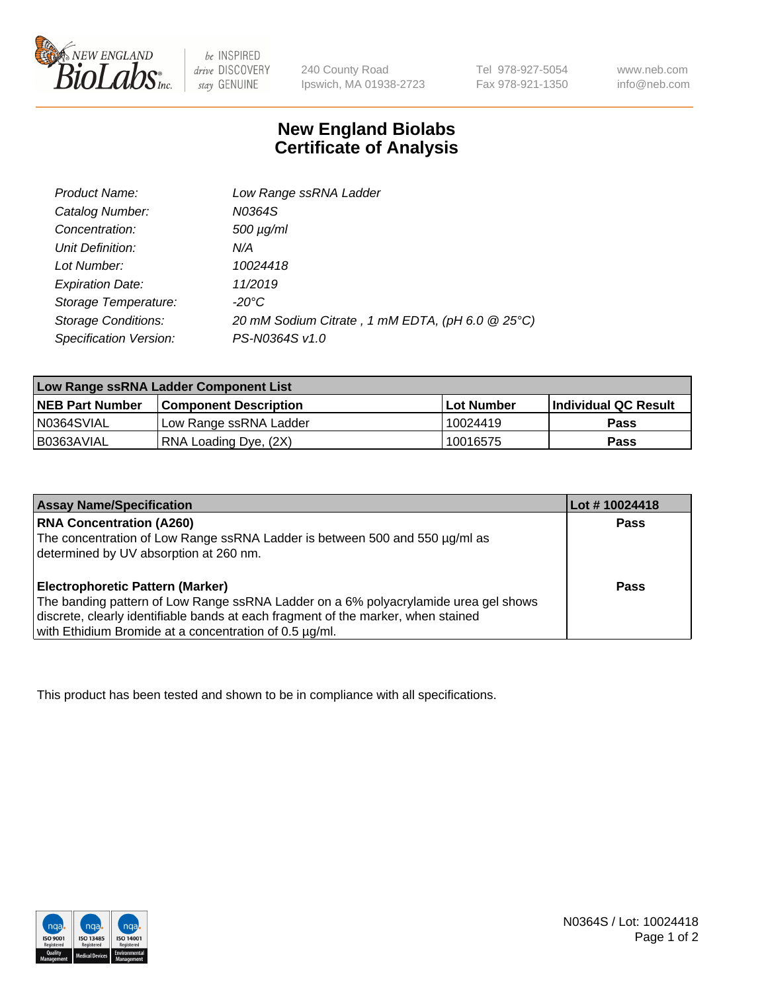

be INSPIRED drive DISCOVERY stay GENUINE

240 County Road Ipswich, MA 01938-2723

Tel 978-927-5054 Fax 978-921-1350 www.neb.com info@neb.com

## **New England Biolabs Certificate of Analysis**

| Product Name:              | Low Range ssRNA Ladder                           |
|----------------------------|--------------------------------------------------|
| Catalog Number:            | N0364S                                           |
| Concentration:             | $500 \mu g/ml$                                   |
| Unit Definition:           | N/A                                              |
| Lot Number:                | 10024418                                         |
| <b>Expiration Date:</b>    | 11/2019                                          |
| Storage Temperature:       | -20°C                                            |
| <b>Storage Conditions:</b> | 20 mM Sodium Citrate, 1 mM EDTA, (pH 6.0 @ 25°C) |
| Specification Version:     | PS-N0364S v1.0                                   |

| Low Range ssRNA Ladder Component List |                              |            |                             |  |
|---------------------------------------|------------------------------|------------|-----------------------------|--|
| <b>NEB Part Number</b>                | <b>Component Description</b> | Lot Number | <b>Individual QC Result</b> |  |
| N0364SVIAL                            | Low Range ssRNA Ladder       | 10024419   | <b>Pass</b>                 |  |
| I B0363AVIAL                          | RNA Loading Dye, (2X)        | 10016575   | <b>Pass</b>                 |  |

| <b>Assay Name/Specification</b>                                                                                                                                                                                                                                               | Lot #10024418 |
|-------------------------------------------------------------------------------------------------------------------------------------------------------------------------------------------------------------------------------------------------------------------------------|---------------|
| <b>RNA Concentration (A260)</b><br>The concentration of Low Range ssRNA Ladder is between 500 and 550 µg/ml as<br>determined by UV absorption at 260 nm.                                                                                                                      | <b>Pass</b>   |
| <b>Electrophoretic Pattern (Marker)</b><br>The banding pattern of Low Range ssRNA Ladder on a 6% polyacrylamide urea gel shows<br>discrete, clearly identifiable bands at each fragment of the marker, when stained<br>with Ethidium Bromide at a concentration of 0.5 µg/ml. | Pass          |

This product has been tested and shown to be in compliance with all specifications.